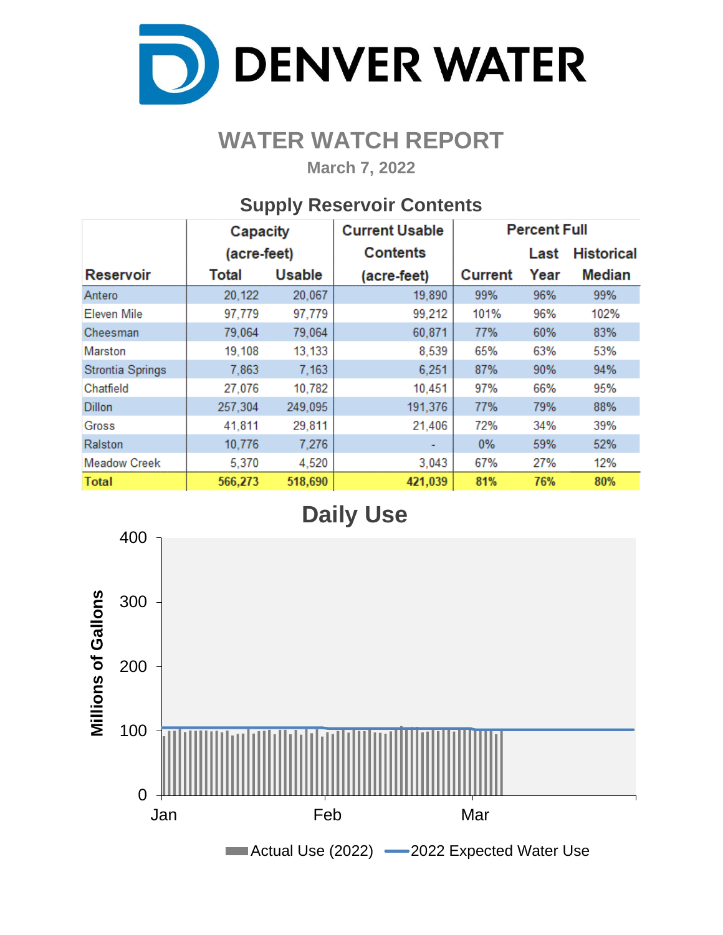

## **WATER WATCH REPORT**

**March 7, 2022**

### **Supply Reservoir Contents**

|                         | Capacity    |               | <b>Current Usable</b> | <b>Percent Full</b> |      |                   |  |  |  |
|-------------------------|-------------|---------------|-----------------------|---------------------|------|-------------------|--|--|--|
|                         | (acre-feet) |               | <b>Contents</b>       |                     | Last | <b>Historical</b> |  |  |  |
| <b>Reservoir</b>        | Total       | <b>Usable</b> | (acre-feet)           | <b>Current</b>      | Year | <b>Median</b>     |  |  |  |
| Antero                  | 20,122      | 20,067        | 19,890                | 99%                 | 96%  | 99%               |  |  |  |
| Eleven Mile             | 97,779      | 97,779        | 99,212                | 101%                | 96%  | 102%              |  |  |  |
| Cheesman                | 79,064      | 79,064        | 60,871                | 77%                 | 60%  | 83%               |  |  |  |
| Marston                 | 19,108      | 13,133        | 8,539                 | 65%                 | 63%  | 53%               |  |  |  |
| <b>Strontia Springs</b> | 7,863       | 7,163         | 6,251                 | 87%                 | 90%  | 94%               |  |  |  |
| Chatfield               | 27,076      | 10,782        | 10,451                | 97%                 | 66%  | 95%               |  |  |  |
| <b>Dillon</b>           | 257,304     | 249,095       | 191,376               | 77%                 | 79%  | 88%               |  |  |  |
| Gross                   | 41,811      | 29,811        | 21,406                | 72%                 | 34%  | 39%               |  |  |  |
| Ralston                 | 10,776      | 7,276         |                       | $0\%$               | 59%  | 52%               |  |  |  |
| <b>Meadow Creek</b>     | 5,370       | 4,520         | 3,043                 | 67%                 | 27%  | 12%               |  |  |  |
| Total                   | 566,273     | 518,690       | 421,039               | 81%                 | 76%  | 80%               |  |  |  |

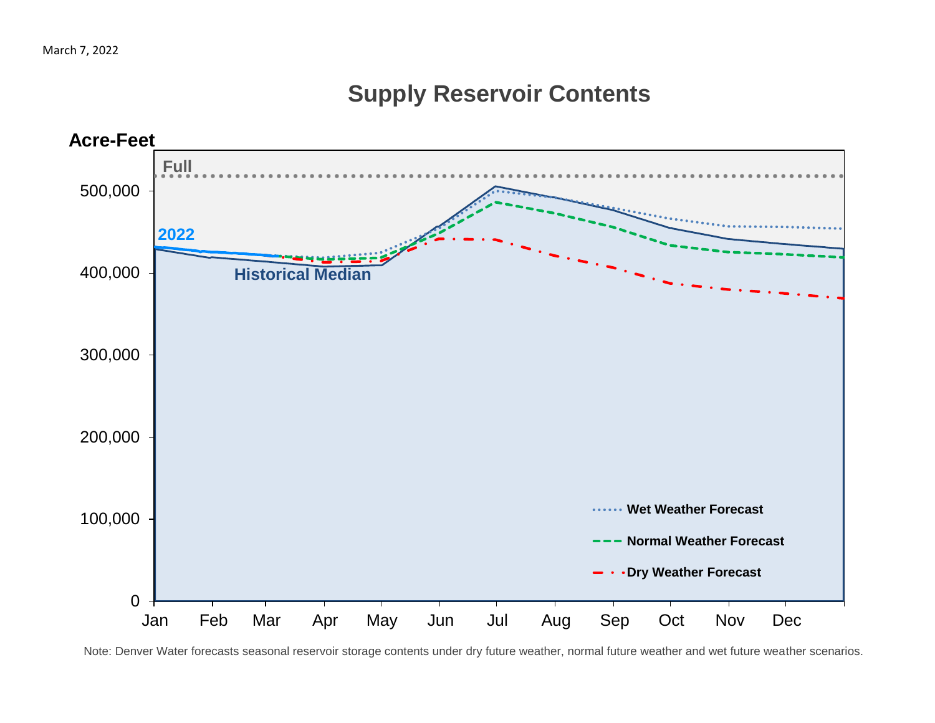### **Supply Reservoir Contents**



Note: Denver Water forecasts seasonal reservoir storage contents under dry future weather, normal future weather and wet future weather scenarios.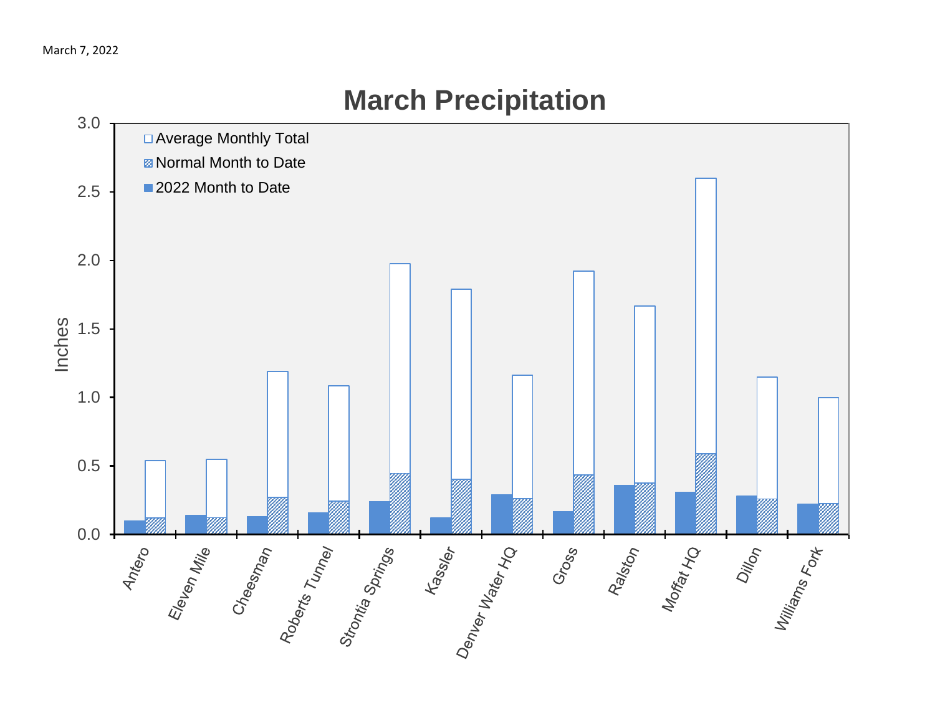# 3.0 □ Average Monthly Total **Z** Normal Month to Date ■ 2022 Month to Date 2.5 2.0 Inches 1.5 1.0 0.5 SS SSA TRIANGLIC Demonstration 0.0 Antero<br>Eleven Mile<br>Cheesman Roberts Tumey<br>Roberts Tumey Raiston<br>Mortai Ho Dill<sub>On</sub><br>Villiams Fort Gross

# **March Precipitation**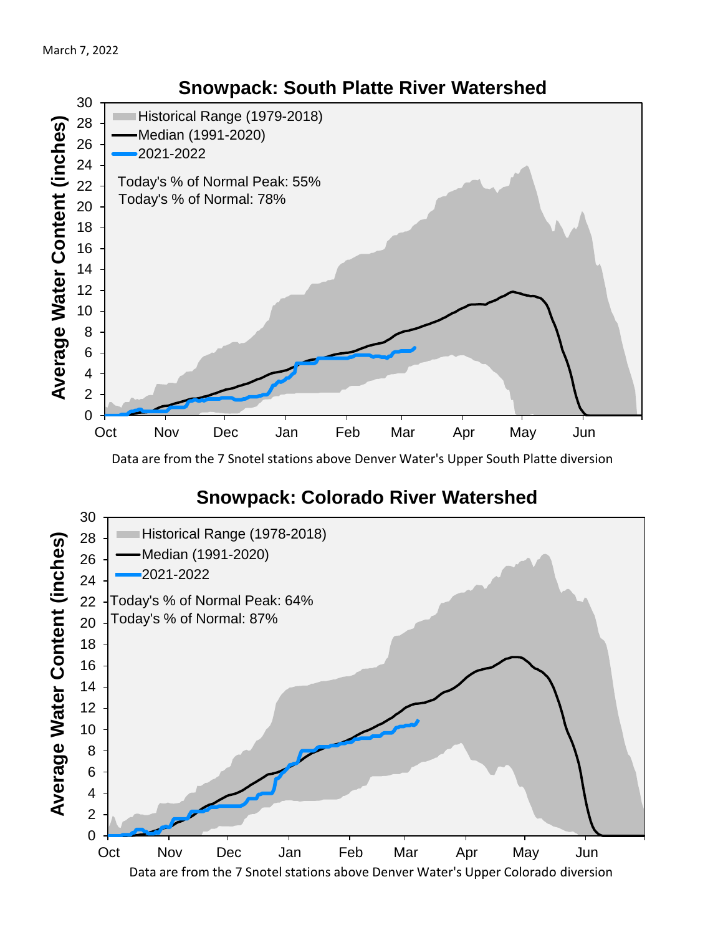

Data are from the 7 Snotel stations above Denver Water's Upper South Platte diversion

#### **Snowpack: Colorado River Watershed**

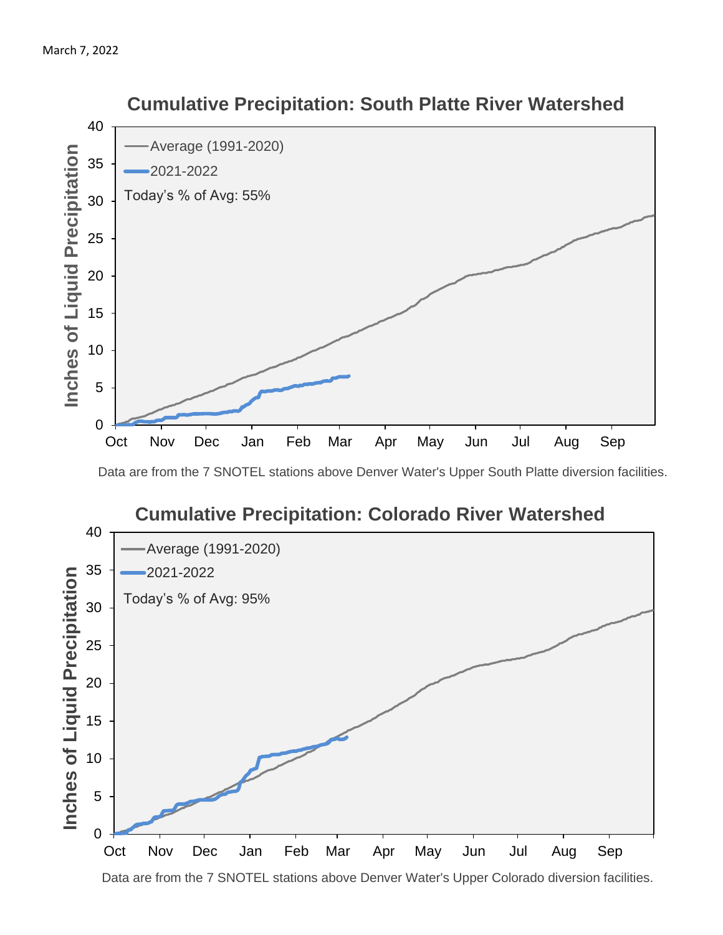

 **Cumulative Precipitation: South Platte River Watershed**

Data are from the 7 SNOTEL stations above Denver Water's Upper South Platte diversion facilities.



Data are from the 7 SNOTEL stations above Denver Water's Upper Colorado diversion facilities.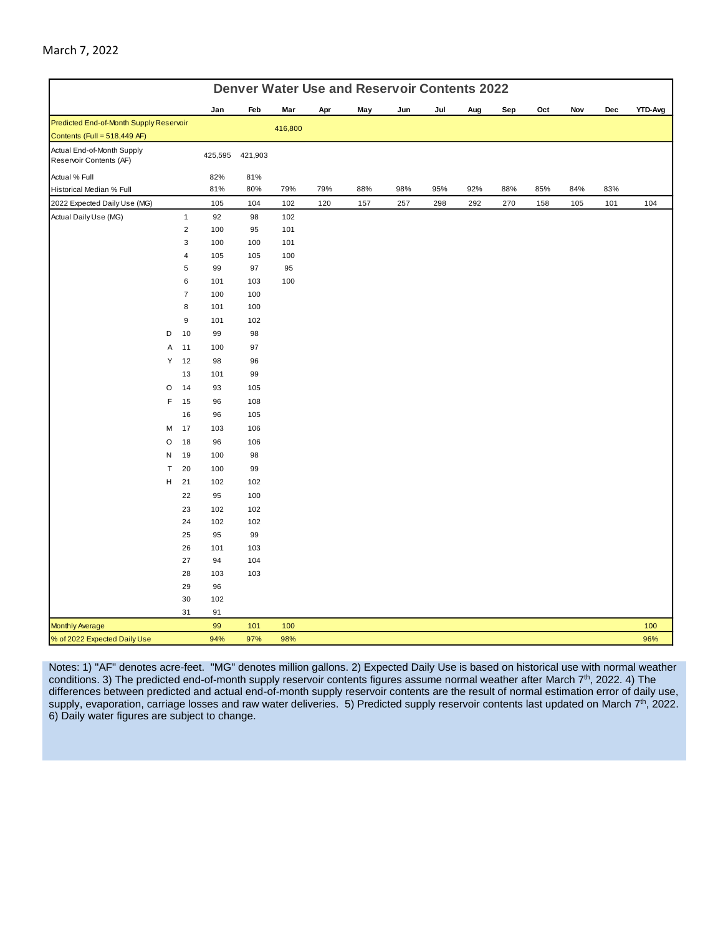|                                                       | <b>Denver Water Use and Reservoir Contents 2022</b> |                |           |            |         |     |     |     |     |     |     |     |     |     |         |
|-------------------------------------------------------|-----------------------------------------------------|----------------|-----------|------------|---------|-----|-----|-----|-----|-----|-----|-----|-----|-----|---------|
|                                                       |                                                     |                | Jan       | Feb        | Mar     | Apr | May | Jun | Jul | Aug | Sep | Oct | Nov | Dec | YTD-Avg |
| Predicted End-of-Month Supply Reservoir               |                                                     |                |           |            | 416,800 |     |     |     |     |     |     |     |     |     |         |
| Contents (Full = 518,449 AF)                          |                                                     |                |           |            |         |     |     |     |     |     |     |     |     |     |         |
| Actual End-of-Month Supply<br>Reservoir Contents (AF) |                                                     |                | 425,595   | 421,903    |         |     |     |     |     |     |     |     |     |     |         |
| Actual % Full                                         |                                                     |                | 82%       | 81%        |         |     |     |     |     |     |     |     |     |     |         |
| Historical Median % Full                              |                                                     |                | 81%       | 80%        | 79%     | 79% | 88% | 98% | 95% | 92% | 88% | 85% | 84% | 83% |         |
| 2022 Expected Daily Use (MG)                          |                                                     |                | 105       | 104        | 102     | 120 | 157 | 257 | 298 | 292 | 270 | 158 | 105 | 101 | 104     |
| Actual Daily Use (MG)                                 |                                                     | $\mathbf{1}$   | 92        | 98         | 102     |     |     |     |     |     |     |     |     |     |         |
|                                                       |                                                     | $\overline{2}$ | 100       | 95         | 101     |     |     |     |     |     |     |     |     |     |         |
|                                                       |                                                     | 3              | 100       | 100        | 101     |     |     |     |     |     |     |     |     |     |         |
|                                                       |                                                     | $\overline{4}$ | 105       | 105        | 100     |     |     |     |     |     |     |     |     |     |         |
|                                                       |                                                     | 5              | 99        | 97         | 95      |     |     |     |     |     |     |     |     |     |         |
|                                                       |                                                     | 6              | 101       | 103        | 100     |     |     |     |     |     |     |     |     |     |         |
|                                                       |                                                     | $\overline{7}$ | 100       | 100        |         |     |     |     |     |     |     |     |     |     |         |
|                                                       |                                                     | 8              | 101       | 100        |         |     |     |     |     |     |     |     |     |     |         |
|                                                       |                                                     | 9              | 101       | 102        |         |     |     |     |     |     |     |     |     |     |         |
|                                                       | D                                                   | 10             | 99        | 98         |         |     |     |     |     |     |     |     |     |     |         |
|                                                       | Α                                                   | 11             | 100       | 97         |         |     |     |     |     |     |     |     |     |     |         |
|                                                       | Y                                                   | 12             | 98        | 96         |         |     |     |     |     |     |     |     |     |     |         |
|                                                       |                                                     | 13             | 101       | 99         |         |     |     |     |     |     |     |     |     |     |         |
|                                                       | O                                                   | 14             | 93        | 105        |         |     |     |     |     |     |     |     |     |     |         |
|                                                       | F                                                   | 15             | 96        | 108        |         |     |     |     |     |     |     |     |     |     |         |
|                                                       |                                                     | 16             | 96        | 105        |         |     |     |     |     |     |     |     |     |     |         |
|                                                       | М                                                   | 17             | 103       | 106        |         |     |     |     |     |     |     |     |     |     |         |
|                                                       | O                                                   | 18             | 96        | 106        |         |     |     |     |     |     |     |     |     |     |         |
|                                                       | N                                                   | 19             | 100       | 98         |         |     |     |     |     |     |     |     |     |     |         |
|                                                       | T                                                   | 20             | 100       | 99         |         |     |     |     |     |     |     |     |     |     |         |
|                                                       | н                                                   | 21             | 102       | 102        |         |     |     |     |     |     |     |     |     |     |         |
|                                                       |                                                     | 22             | 95        | 100        |         |     |     |     |     |     |     |     |     |     |         |
|                                                       |                                                     | 23             | 102       | 102        |         |     |     |     |     |     |     |     |     |     |         |
|                                                       |                                                     | 24             | 102       | 102        |         |     |     |     |     |     |     |     |     |     |         |
|                                                       |                                                     | 25             | 95        | 99         |         |     |     |     |     |     |     |     |     |     |         |
|                                                       |                                                     | 26<br>27       | 101<br>94 | 103<br>104 |         |     |     |     |     |     |     |     |     |     |         |
|                                                       |                                                     | 28             | 103       | 103        |         |     |     |     |     |     |     |     |     |     |         |
|                                                       |                                                     | 29             | 96        |            |         |     |     |     |     |     |     |     |     |     |         |
|                                                       |                                                     | $30\,$         | 102       |            |         |     |     |     |     |     |     |     |     |     |         |
|                                                       |                                                     | 31             | 91        |            |         |     |     |     |     |     |     |     |     |     |         |
| Monthly Average                                       |                                                     |                | 99        | 101        | 100     |     |     |     |     |     |     |     |     |     | 100     |
| % of 2022 Expected Daily Use                          |                                                     |                | 94%       | 97%        | 98%     |     |     |     |     |     |     |     |     |     | 96%     |

Notes: 1) "AF" denotes acre-feet. "MG" denotes million gallons. 2) Expected Daily Use is based on historical use with normal weather conditions. 3) The predicted end-of-month supply reservoir contents figures assume normal weather after March 7<sup>th</sup>, 2022. 4) The differences between predicted and actual end-of-month supply reservoir contents are the result of normal estimation error of daily use, supply, evaporation, carriage losses and raw water deliveries. 5) Predicted supply reservoir contents last updated on March  $7<sup>th</sup>$ , 2022. 6) Daily water figures are subject to change.